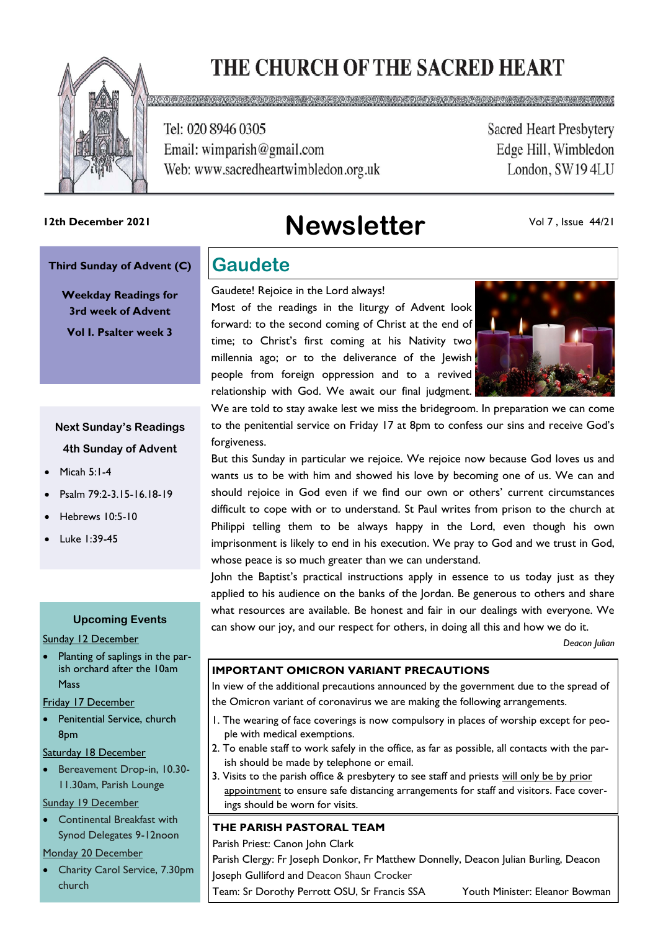# THE CHURCH OF THE SACRED HEART

<u>ao ana ana ana ana amin'ny kaodim-paositra amin'ny faritr'i Normandie, ao amin'ny faritr'i Normandie, ao amin'</u>



Tel: 020 8946 0305 Email: wimparish@gmail.com Web: www.sacredheartwimbledon.org.uk **Sacred Heart Presbytery** Edge Hill, Wimbledon London, SW194LU

# **Newsletter 12th December 2021**

Vol 7 , Issue 44/21

#### **Third Sunday of Advent (C)**

**Weekday Readings for 3rd week of Advent Vol I. Psalter week 3**

### **Next Sunday's Readings 4th Sunday of Advent**

- Micah 5:1-4
- Psalm 79:2-3.15-16.18-19
- Hebrews 10:5-10
- Luke 1:39-45

#### **Upcoming Events**

Sunday 12 December

• Planting of saplings in the parish orchard after the 10am Mass

Friday 17 December

Penitential Service, church 8pm

Saturday 18 December

• Bereavement Drop-in, 10.30- 11.30am, Parish Lounge

#### Sunday 19 December

• Continental Breakfast with Synod Delegates 9-12noon

#### Monday 20 December

• Charity Carol Service, 7.30pm church

### **Gaudete**

Gaudete! Rejoice in the Lord always!

Most of the readings in the liturgy of Advent look forward: to the second coming of Christ at the end of time; to Christ's first coming at his Nativity two millennia ago; or to the deliverance of the Jewish people from foreign oppression and to a revived relationship with God. We await our final judgment.



We are told to stay awake lest we miss the bridegroom. In preparation we can come to the penitential service on Friday 17 at 8pm to confess our sins and receive God's forgiveness.

But this Sunday in particular we rejoice. We rejoice now because God loves us and wants us to be with him and showed his love by becoming one of us. We can and should rejoice in God even if we find our own or others' current circumstances difficult to cope with or to understand. St Paul writes from prison to the church at Philippi telling them to be always happy in the Lord, even though his own imprisonment is likely to end in his execution. We pray to God and we trust in God, whose peace is so much greater than we can understand.

John the Baptist's practical instructions apply in essence to us today just as they applied to his audience on the banks of the Jordan. Be generous to others and share what resources are available. Be honest and fair in our dealings with everyone. We can show our joy, and our respect for others, in doing all this and how we do it.

*Deacon Julian*

#### **IMPORTANT OMICRON VARIANT PRECAUTIONS**

In view of the additional precautions announced by the government due to the spread of the Omicron variant of coronavirus we are making the following arrangements.

- 1. The wearing of face coverings is now compulsory in places of worship except for people with medical exemptions.
- 2. To enable staff to work safely in the office, as far as possible, all contacts with the parish should be made by telephone or email.
- 3. Visits to the parish office & presbytery to see staff and priests will only be by prior appointment to ensure safe distancing arrangements for staff and visitors. Face coverings should be worn for visits.

#### **THE PARISH PASTORAL TEAM**

Parish Priest: Canon John Clark

Parish Clergy: Fr Joseph Donkor, Fr Matthew Donnelly, Deacon Julian Burling, Deacon Joseph Gulliford and Deacon Shaun Crocker

Team: Sr Dorothy Perrott OSU, Sr Francis SSA Youth Minister: Eleanor Bowman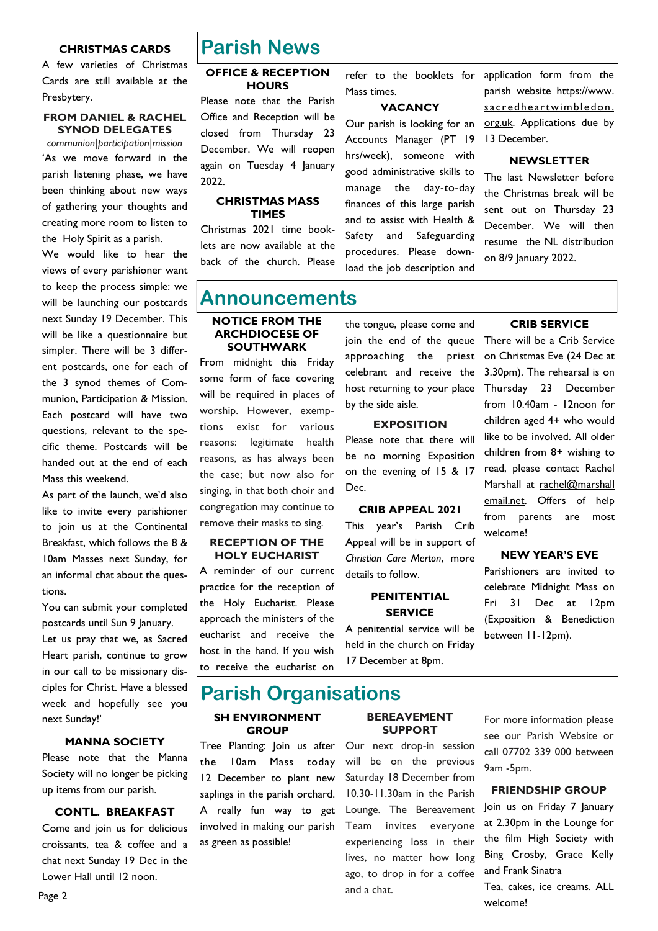#### **CHRISTMAS CARDS**

A few varieties of Christmas Cards are still available at the Presbytery.

#### **FROM DANIEL & RACHEL SYNOD DELEGATES**

*communion|participation|mission* 'As we move forward in the parish listening phase, we have been thinking about new ways of gathering your thoughts and creating more room to listen to the Holy Spirit as a parish.

We would like to hear the views of every parishioner want to keep the process simple: we will be launching our postcards next Sunday 19 December. This will be like a questionnaire but simpler. There will be 3 different postcards, one for each of the 3 synod themes of Communion, Participation & Mission. Each postcard will have two questions, relevant to the specific theme. Postcards will be handed out at the end of each Mass this weekend.

As part of the launch, we'd also like to invite every parishioner to join us at the Continental Breakfast, which follows the 8 & 10am Masses next Sunday, for an informal chat about the questions.

You can submit your completed postcards until Sun 9 January. Let us pray that we, as Sacred Heart parish, continue to grow in our call to be missionary disciples for Christ. Have a blessed week and hopefully see you next Sunday!'

#### **MANNA SOCIETY**

Please note that the Manna Society will no longer be picking up items from our parish.

#### **CONTL. BREAKFAST**

Come and join us for delicious croissants, tea & coffee and a chat next Sunday 19 Dec in the Lower Hall until 12 noon.

### **Parish News**

#### **OFFICE & RECEPTION HOURS**

Please note that the Parish Office and Reception will be closed from Thursday 23 December. We will reopen again on Tuesday 4 January 2022.

#### **CHRISTMAS MASS TIMES**

Christmas 2021 time booklets are now available at the back of the church. Please refer to the booklets for Mass times.

#### **VACANCY**

Our parish is looking for an Accounts Manager (PT 19 hrs/week), someone with good administrative skills to manage the day-to-day finances of this large parish and to assist with Health & Safety and Safeguarding procedures. Please download the job description and

application form from the parish website https://www. sacredheartwimbledon. org.uk. Applications due by 13 December.

#### **NEWSLETTER**

The last Newsletter before the Christmas break will be sent out on Thursday 23 December. We will then resume the NL distribution on 8/9 January 2022.

### **Announcements**

#### **NOTICE FROM THE ARCHDIOCESE OF SOUTHWARK**

From midnight this Friday some form of face covering will be required in places of worship. However, exemptions exist for various reasons: legitimate health reasons, as has always been the case; but now also for singing, in that both choir and congregation may continue to remove their masks to sing.

#### **RECEPTION OF THE HOLY EUCHARIST**

A reminder of our current practice for the reception of the Holy Eucharist. Please approach the ministers of the eucharist and receive the host in the hand. If you wish to receive the eucharist on

the tongue, please come and join the end of the queue There will be a Crib Service approaching the priest celebrant and receive the host returning to your place by the side aisle.

#### **EXPOSITION**

Please note that there will be no morning Exposition on the evening of 15 & 17 Dec.

#### **CRIB APPEAL 2021**

This year's Parish Crib Appeal will be in support of *Christian Care Merton*, more details to follow.

#### **PENITENTIAL SERVICE**

A penitential service will be held in the church on Friday 17 December at 8pm.

#### **CRIB SERVICE**

on Christmas Eve (24 Dec at 3.30pm). The rehearsal is on Thursday 23 December from 10.40am - 12noon for children aged 4+ who would like to be involved. All older children from 8+ wishing to read, please contact Rachel Marshall at rachel@marshall email.net. Offers of help from parents are most welcome!

#### **NEW YEAR'S EVE**

Parishioners are invited to celebrate Midnight Mass on Fri 31 Dec at 12pm (Exposition & Benediction between 11-12pm).

### **Parish Organisations**

#### **SH ENVIRONMENT GROUP**

Tree Planting: Join us after the 10am Mass today 12 December to plant new saplings in the parish orchard. A really fun way to get involved in making our parish as green as possible!

#### **BEREAVEMENT SUPPORT**

Our next drop-in session will be on the previous Saturday 18 December from 10.30-11.30am in the Parish Lounge. The Bereavement Team invites everyone experiencing loss in their lives, no matter how long ago, to drop in for a coffee and a chat.

For more information please see our Parish Website or call 07702 339 000 between 9am -5pm.

#### **FRIENDSHIP GROUP**

Join us on Friday 7 January at 2.30pm in the Lounge for the film High Society with Bing Crosby, Grace Kelly and Frank Sinatra Tea, cakes, ice creams. ALL

welcome!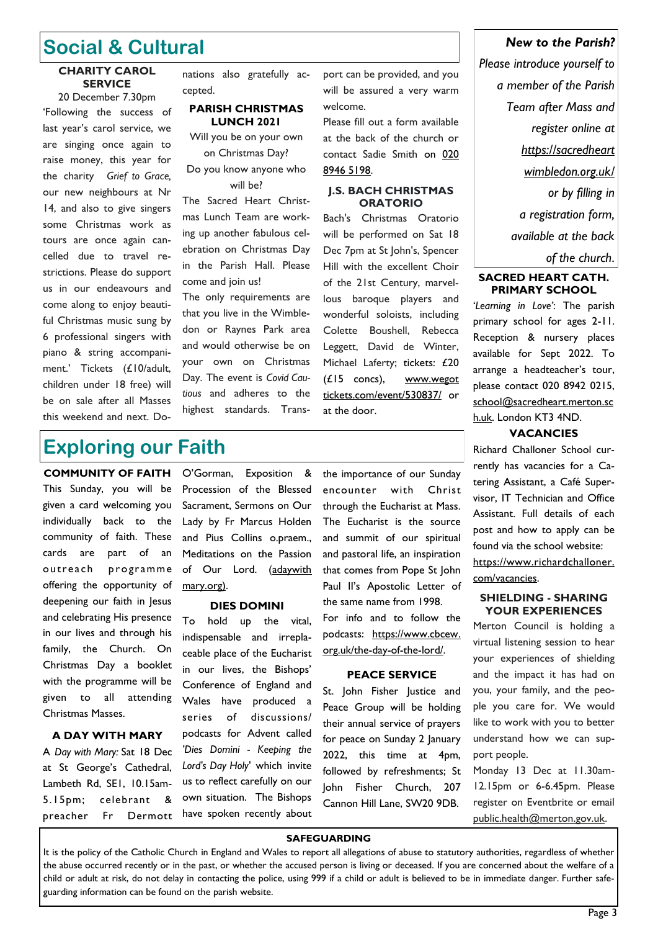## **Social & Cultural**

#### **CHARITY CAROL SERVICE**

20 December 7.30pm 'Following the success of last year's carol service, we are singing once again to raise money, this year for the charity *Grief to Grace,*  our new neighbours at Nr 14, and also to give singers some Christmas work as tours are once again cancelled due to travel restrictions. Please do support us in our endeavours and come along to enjoy beautiful Christmas music sung by 6 professional singers with piano & string accompaniment.' Tickets (£10/adult, children under 18 free) will be on sale after all Masses this weekend and next. Donations also gratefully accepted.

#### **PARISH CHRISTMAS LUNCH 2021**

Will you be on your own on Christmas Day?

Do you know anyone who will be?

The Sacred Heart Christmas Lunch Team are working up another fabulous celebration on Christmas Day in the Parish Hall. Please come and join us!

The only requirements are that you live in the Wimbledon or Raynes Park area and would otherwise be on your own on Christmas Day. The event is *Covid Cautious* and adheres to the highest standards. Transport can be provided, and you will be assured a very warm welcome.

Please fill out a form available at the back of the church or contact Sadie Smith on [020](tel:+442089465198)  [8946 5198.](tel:+442089465198)

#### **J.S. BACH CHRISTMAS ORATORIO**

Bach's Christmas Oratorio will be performed on Sat 18 Dec 7pm at St John's, Spencer Hill with the excellent Choir of the 21st Century, marvellous baroque players and wonderful soloists, including Colette Boushell, Rebecca Leggett, David de Winter, Michael Laferty; tickets: £20 (£15 concs), www.wegot tickets.com/event/530837/ or at the door.

### **Exploring our Faith**

**COMMUNITY OF FAITH** This Sunday, you will be given a card welcoming you individually back to the community of faith. These cards are part of an outreach programme offering the opportunity of deepening our faith in Jesus and celebrating His presence in our lives and through his family, the Church. On Christmas Day a booklet with the programme will be given to all attending Christmas Masses.

#### **A DAY WITH MARY**

A *Day with Mary:* Sat 18 Dec at St George's Cathedral, Lambeth Rd, SE1, 10.15am-5.15pm; celebrant & preacher Fr Dermott

O'Gorman, Exposition & Procession of the Blessed Sacrament, Sermons on Our Lady by Fr Marcus Holden and Pius Collins o.praem., Meditations on the Passion of Our Lord. (adaywith mary.org).

#### **DIES DOMINI**

To hold up the vital, indispensable and irreplaceable place of the Eucharist in our lives, the Bishops' Conference of England and Wales have produced a series of discussions/ podcasts for Advent called *'Dies Domini - Keeping the Lord's Day Holy'* which invite us to reflect carefully on our own situation. The Bishops have spoken recently about

the importance of our Sunday encounter with Christ through the Eucharist at Mass. The Eucharist is the source and summit of our spiritual and pastoral life, an inspiration that comes from Pope St John Paul II's Apostolic Letter of the same name from 1998. For info and to follow the podcasts: https://www.cbcew. org.uk/the-day-of-the-lord/.

#### **PEACE SERVICE**

St. John Fisher Justice and Peace Group will be holding their annual service of prayers for peace on Sunday 2 January 2022, this time at 4pm, followed by refreshments; St John Fisher Church, 207 Cannon Hill Lane, SW20 9DB.

### *New to the Parish?*

*Please introduce yourself to a member of the Parish Team after Mass and register online at https://sacredheart wimbledon.org.uk/ or by filling in a registration form, available at the back of the church*.

#### **SACRED HEART CATH. PRIMARY SCHOOL**

'*Learning in Love'*: The parish primary school for ages 2-11. Reception & nursery places available for Sept 2022. To arrange a headteacher's tour, please contact 020 8942 0215, school@sacredheart.merton.sc h.uk. London KT3 4ND.

#### **VACANCIES**

Richard Challoner School currently has vacancies for a Catering Assistant, a Café Supervisor, IT Technician and Office Assistant. Full details of each post and how to apply can be found via the school website: https://www.richardchalloner. com/vacancies.

#### **SHIELDING - SHARING YOUR EXPERIENCES**

Merton Council is holding a virtual listening session to hear your experiences of shielding and the impact it has had on you, your family, and the people you care for. We would like to work with you to better understand how we can support people.

Monday 13 Dec at 11.30am-12.15pm or 6-6.45pm. Please register on Eventbrite or email public.health@merton.gov.uk.

#### **SAFEGUARDING**

It is the policy of the Catholic Church in England and Wales to report all allegations of abuse to statutory authorities, regardless of whether the abuse occurred recently or in the past, or whether the accused person is living or deceased. If you are concerned about the welfare of a child or adult at risk, do not delay in contacting the police, using 999 if a child or adult is believed to be in immediate danger. Further safeguarding information can be found on the parish website.